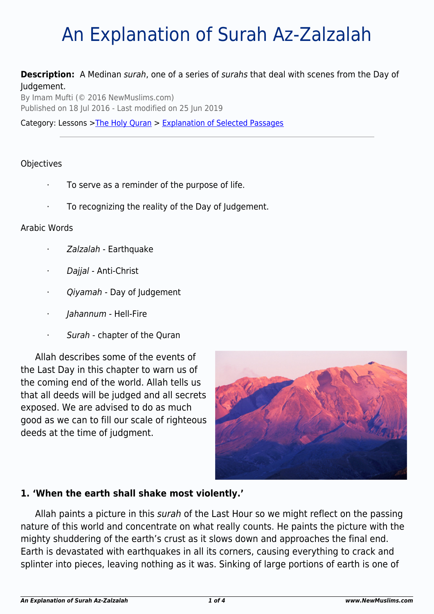# An Explanation of Surah Az-Zalzalah

#### **Description:** A Medinan surah, one of a series of surahs that deal with scenes from the Day of Judgement.

By Imam Mufti (© 2016 NewMuslims.com) Published on 18 Jul 2016 - Last modified on 25 Jun 2019

Category: Lessons >[The Holy Quran](http://www.newmuslims.com/category/134/) > [Explanation of Selected Passages](http://www.newmuslims.com/category/158/)

#### **Objectives**

- · To serve as a reminder of the purpose of life.
- · To recognizing the reality of the Day of Judgement.

#### Arabic Words

- · Zalzalah Earthquake
- Dajjal Anti-Christ
- · Qiyamah Day of Judgement
- Jahannum Hell-Fire
- · Surah chapter of the Quran

Allah describes some of the events of the Last Day in this chapter to warn us of the coming end of the world. Allah tells us that all deeds will be judged and all secrets exposed. We are advised to do as much good as we can to fill our scale of righteous deeds at the time of judgment.



### **1. 'When the earth shall shake most violently.'**

Allah paints a picture in this surah of the Last Hour so we might reflect on the passing nature of this world and concentrate on what really counts. He paints the picture with the mighty shuddering of the earth's crust as it slows down and approaches the final end. Earth is devastated with earthquakes in all its corners, causing everything to crack and splinter into pieces, leaving nothing as it was. Sinking of large portions of earth is one of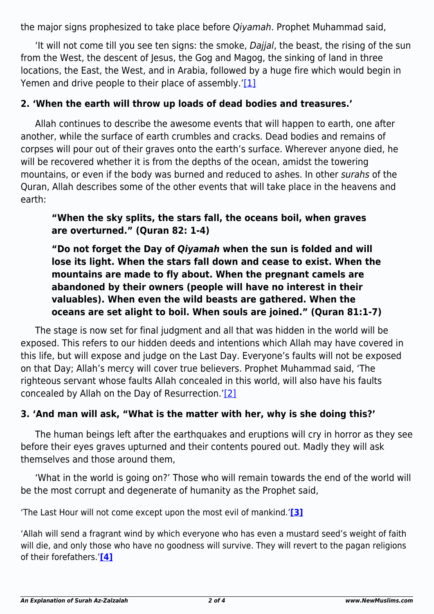the major signs prophesized to take place before Qiyamah. Prophet Muhammad said,

'It will not come till you see ten signs: the smoke, Dajjal, the beast, the rising of the sun from the West, the descent of Jesus, the Gog and Magog, the sinking of land in three locations, the East, the West, and in Arabia, followed by a huge fire which would begin in Yemen and drive people to their place of assembly.' $[1]$ 

## <span id="page-1-0"></span>**2. 'When the earth will throw up loads of dead bodies and treasures.'**

Allah continues to describe the awesome events that will happen to earth, one after another, while the surface of earth crumbles and cracks. Dead bodies and remains of corpses will pour out of their graves onto the earth's surface. Wherever anyone died, he will be recovered whether it is from the depths of the ocean, amidst the towering mountains, or even if the body was burned and reduced to ashes. In other surahs of the Quran, Allah describes some of the other events that will take place in the heavens and earth:

**"When the sky splits, the stars fall, the oceans boil, when graves are overturned." (Quran 82: 1-4)**

**"Do not forget the Day of** *Qiyamah* **when the sun is folded and will lose its light. When the stars fall down and cease to exist. When the mountains are made to fly about. When the pregnant camels are abandoned by their owners (people will have no interest in their valuables). When even the wild beasts are gathered. When the oceans are set alight to boil. When souls are joined." (Quran 81:1-7)**

The stage is now set for final judgment and all that was hidden in the world will be exposed. This refers to our hidden deeds and intentions which Allah may have covered in this life, but will expose and judge on the Last Day. Everyone's faults will not be exposed on that Day; Allah's mercy will cover true believers. Prophet Muhammad said, 'The righteous servant whose faults Allah concealed in this world, will also have his faults concealed by Allah on the Day of Resurrection.['\[2\]](#page-3-1)

### <span id="page-1-1"></span>**3. 'And man will ask, "What is the matter with her, why is she doing this?'**

The human beings left after the earthquakes and eruptions will cry in horror as they see before their eyes graves upturned and their contents poured out. Madly they will ask themselves and those around them,

'What in the world is going on?' Those who will remain towards the end of the world will be the most corrupt and degenerate of humanity as the Prophet said,

<span id="page-1-2"></span>'The Last Hour will not come except upon the most evil of mankind.'**[\[3\]](#page-3-2)**

<span id="page-1-3"></span>'Allah will send a fragrant wind by which everyone who has even a mustard seed's weight of faith will die, and only those who have no goodness will survive. They will revert to the pagan religions of their forefathers.'**[\[4\]](#page-3-3)**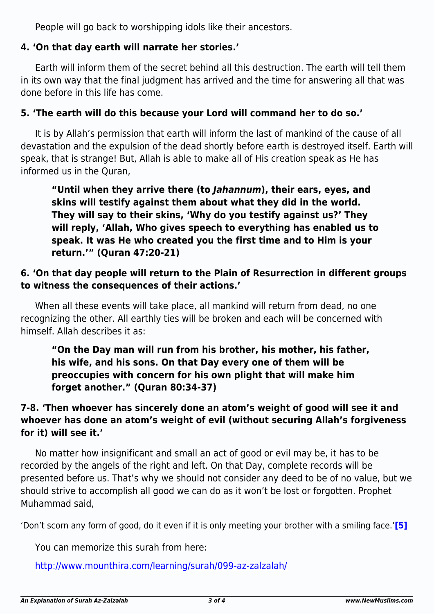People will go back to worshipping idols like their ancestors.

# **4. 'On that day earth will narrate her stories.'**

Earth will inform them of the secret behind all this destruction. The earth will tell them in its own way that the final judgment has arrived and the time for answering all that was done before in this life has come.

## **5. 'The earth will do this because your Lord will command her to do so.'**

It is by Allah's permission that earth will inform the last of mankind of the cause of all devastation and the expulsion of the dead shortly before earth is destroyed itself. Earth will speak, that is strange! But, Allah is able to make all of His creation speak as He has informed us in the Quran,

**"Until when they arrive there (to** *Jahannum***), their ears, eyes, and skins will testify against them about what they did in the world. They will say to their skins, 'Why do you testify against us?' They will reply, 'Allah, Who gives speech to everything has enabled us to speak. It was He who created you the first time and to Him is your return.'" (Quran 47:20-21)**

## **6. 'On that day people will return to the Plain of Resurrection in different groups to witness the consequences of their actions.'**

When all these events will take place, all mankind will return from dead, no one recognizing the other. All earthly ties will be broken and each will be concerned with himself. Allah describes it as:

**"On the Day man will run from his brother, his mother, his father, his wife, and his sons. On that Day every one of them will be preoccupies with concern for his own plight that will make him forget another." (Quran 80:34-37)**

# **7-8. 'Then whoever has sincerely done an atom's weight of good will see it and whoever has done an atom's weight of evil (without securing Allah's forgiveness for it) will see it.'**

No matter how insignificant and small an act of good or evil may be, it has to be recorded by the angels of the right and left. On that Day, complete records will be presented before us. That's why we should not consider any deed to be of no value, but we should strive to accomplish all good we can do as it won't be lost or forgotten. Prophet Muhammad said,

<span id="page-2-0"></span>'Don't scorn any form of good, do it even if it is only meeting your brother with a smiling face.'**[\[5\]](#page-3-4)**

You can memorize this surah from here:

<http://www.mounthira.com/learning/surah/099-az-zalzalah/>